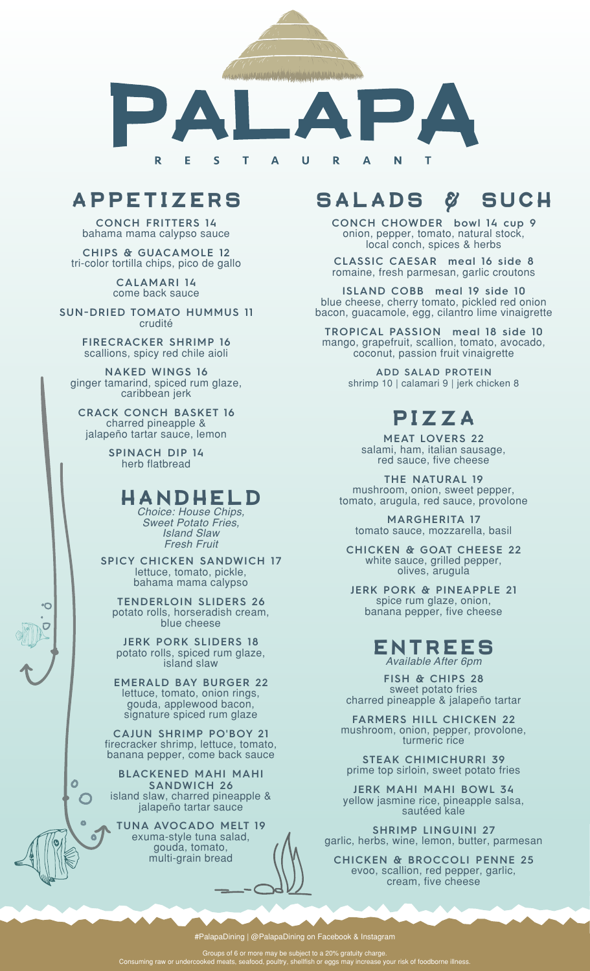

# **APPETIZERS**

**CONCH FRITTERS 14** bahama mama calypso sauce

**CHIPS & GUACAMOLE 12** tri-color tortilla chips, pico de gallo

> **CALAMARI 14** come back sauce

**SUN-DRIED TOMATO HUMMUS 11** crudité

> **FIRECRACKER SHRIMP 16** scallions, spicy red chile aioli

**NAKED WINGS 16** ginger tamarind, spiced rum glaze, caribbean jerk

**CRACK CONCH BASKET 16** charred pineapple & jalapeño tartar sauce, lemon

> **SPINACH DIP 14** herb flatbread

### **HANDHELD**

*Choice: House Chips, Sweet Potato Fries, Island Slaw Fresh Fruit*

**SPICY CHICKEN SANDWICH 17** lettuce, tomato, pickle, bahama mama calypso

**TENDERLOIN SLIDERS 26** potato rolls, horseradish cream, blue cheese

**JERK PORK SLIDERS 18** potato rolls, spiced rum glaze, island slaw

**EMERALD BAY BURGER 22** lettuce, tomato, onion rings, gouda, applewood bacon, signature spiced rum glaze

**CAJUN SHRIMP PO'BOY 21** firecracker shrimp, lettuce, tomato, banana pepper, come back sauce

**BLACKENED MAHI MAHI SANDWICH 26** island slaw, charred pineapple & jalapeño tartar sauce

 $\overline{O}$  $\bigcap$ 

> $\bullet$ ö

**TUNA AVOCADO MELT 19** exuma-style tuna salad, gouda, tomato, multi-grain bread

# **SALADS & SUCH**

**CONCH CHOWDER bowl 14 cup 9** onion, pepper, tomato, natural stock, local conch, spices & herbs

**CLASSIC CAESAR meal 16 side 8** romaine, fresh parmesan, garlic croutons

**ISLAND COBB meal 19 side 10**  blue cheese, cherry tomato, pickled red onion bacon, guacamole, egg, cilantro lime vinaigrette

**TROPICAL PASSION meal 18 side 10** mango, grapefruit, scallion, tomato, avocado, coconut, passion fruit vinaigrette

> **ADD SALAD PROTEIN** shrimp 10 | calamari 9 | jerk chicken 8

# **PIZZA**

**MEAT LOVERS 22** salami, ham, italian sausage, red sauce, five cheese

**THE NATURAL 19** mushroom, onion, sweet pepper, tomato, arugula, red sauce, provolone

**MARGHERITA 17** tomato sauce, mozzarella, basil

**CHICKEN & GOAT CHEESE 22** white sauce, grilled pepper, olives, arugula

**JERK PORK & PINEAPPLE 21** spice rum glaze, onion, banana pepper, five cheese

#### **ENTREES** *Available After 6pm*

**FISH & CHIPS 28** sweet potato fries charred pineapple & jalapeño tartar

**FARMERS HILL CHICKEN 22** mushroom, onion, pepper, provolone, turmeric rice

**STEAK CHIMICHURRI 39** prime top sirloin, sweet potato fries

**JERK MAHI MAHI BOWL 34** yellow jasmine rice, pineapple salsa, sautéed kale

**SHRIMP LINGUINI 27** garlic, herbs, wine, lemon, butter, parmesan

**CHICKEN & BROCCOLI PENNE 25** evoo, scallion, red pepper, garlic, cream, five cheese